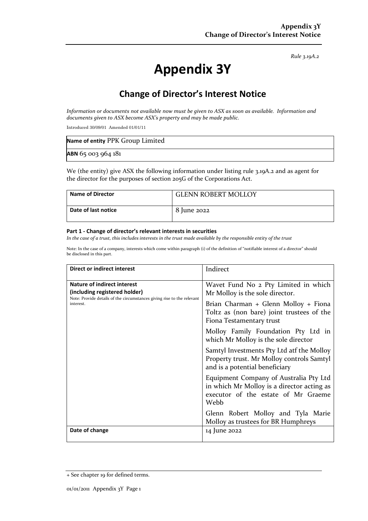*Rule 3.19A.2*

# **Appendix 3Y**

# **Change of Director's Interest Notice**

*Information or documents not available now must be given to ASX as soon as available. Information and documents given to ASX become ASX's property and may be made public.*

Introduced 30/09/01 Amended 01/01/11

| Name of entity PPK Group Limited |  |
|----------------------------------|--|
| ABN 65 003 964 181               |  |

We (the entity) give ASX the following information under listing rule 3.19A.2 and as agent for the director for the purposes of section 205G of the Corporations Act.

| <b>Name of Director</b> | <b>GLENN ROBERT MOLLOY</b> |
|-------------------------|----------------------------|
| Date of last notice     | 8 June 2022                |

#### **Part 1 - Change of director's relevant interests in securities**

*In the case of a trust, this includes interests in the trust made available by the responsible entity of the trust*

Note: In the case of a company, interests which come within paragraph (i) of the definition of "notifiable interest of a director" should be disclosed in this part.

| <b>Direct or indirect interest</b>                                                                                                                         | Indirect                                                                                                                            |
|------------------------------------------------------------------------------------------------------------------------------------------------------------|-------------------------------------------------------------------------------------------------------------------------------------|
| <b>Nature of indirect interest</b><br>(including registered holder)<br>Note: Provide details of the circumstances giving rise to the relevant<br>interest. | Wavet Fund No 2 Pty Limited in which<br>Mr Molloy is the sole director.                                                             |
|                                                                                                                                                            | Brian Charman + Glenn Molloy + Fiona<br>Toltz as (non bare) joint trustees of the<br>Fiona Testamentary trust                       |
|                                                                                                                                                            | Molloy Family Foundation Pty Ltd in<br>which Mr Molloy is the sole director                                                         |
|                                                                                                                                                            | Samtyl Investments Pty Ltd atf the Molloy<br>Property trust. Mr Molloy controls Samtyl<br>and is a potential beneficiary            |
|                                                                                                                                                            | Equipment Company of Australia Pty Ltd<br>in which Mr Molloy is a director acting as<br>executor of the estate of Mr Graeme<br>Webb |
|                                                                                                                                                            | Glenn Robert Molloy and Tyla Marie<br>Molloy as trustees for BR Humphreys                                                           |
| Date of change                                                                                                                                             | 14 June 2022                                                                                                                        |

<sup>+</sup> See chapter 19 for defined terms.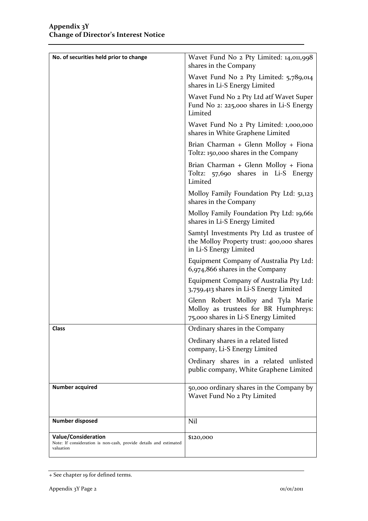| No. of securities held prior to change                                                                       | Wavet Fund No 2 Pty Limited: 14,011,998<br>shares in the Company                                                   |
|--------------------------------------------------------------------------------------------------------------|--------------------------------------------------------------------------------------------------------------------|
|                                                                                                              | Wavet Fund No 2 Pty Limited: 5,789,014<br>shares in Li-S Energy Limited                                            |
|                                                                                                              | Wavet Fund No 2 Pty Ltd atf Wavet Super<br>Fund No 2: 225,000 shares in Li-S Energy<br>Limited                     |
|                                                                                                              | Wavet Fund No 2 Pty Limited: 1,000,000<br>shares in White Graphene Limited                                         |
|                                                                                                              | Brian Charman + Glenn Molloy + Fiona<br>Toltz: 150,000 shares in the Company                                       |
|                                                                                                              | Brian Charman + Glenn Molloy + Fiona<br>Toltz: 57,690 shares in Li-S Energy<br>Limited                             |
|                                                                                                              | Molloy Family Foundation Pty Ltd: 51,123<br>shares in the Company                                                  |
|                                                                                                              | Molloy Family Foundation Pty Ltd: 19,661<br>shares in Li-S Energy Limited                                          |
|                                                                                                              | Samtyl Investments Pty Ltd as trustee of<br>the Molloy Property trust: 400,000 shares<br>in Li-S Energy Limited    |
|                                                                                                              | Equipment Company of Australia Pty Ltd:<br>6,974,866 shares in the Company                                         |
|                                                                                                              | Equipment Company of Australia Pty Ltd:<br>3,759,413 shares in Li-S Energy Limited                                 |
|                                                                                                              | Glenn Robert Molloy and Tyla Marie<br>Molloy as trustees for BR Humphreys:<br>75,000 shares in Li-S Energy Limited |
| Class                                                                                                        | Ordinary shares in the Company                                                                                     |
|                                                                                                              | Ordinary shares in a related listed<br>company, Li-S Energy Limited                                                |
|                                                                                                              | Ordinary shares in a related unlisted<br>public company, White Graphene Limited                                    |
| <b>Number acquired</b>                                                                                       | 50,000 ordinary shares in the Company by<br>Wavet Fund No 2 Pty Limited                                            |
| Number disposed                                                                                              | Nil                                                                                                                |
| <b>Value/Consideration</b><br>Note: If consideration is non-cash, provide details and estimated<br>valuation | \$120,000                                                                                                          |

<sup>+</sup> See chapter 19 for defined terms.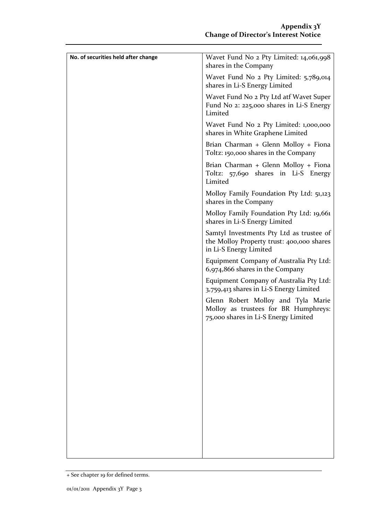| No. of securities held after change | Wavet Fund No 2 Pty Limited: 14,061,998                                                                            |
|-------------------------------------|--------------------------------------------------------------------------------------------------------------------|
|                                     | shares in the Company                                                                                              |
|                                     | Wavet Fund No 2 Pty Limited: 5,789,014<br>shares in Li-S Energy Limited                                            |
|                                     | Wavet Fund No 2 Pty Ltd atf Wavet Super<br>Fund No 2: 225,000 shares in Li-S Energy<br>Limited                     |
|                                     | Wavet Fund No 2 Pty Limited: 1,000,000<br>shares in White Graphene Limited                                         |
|                                     | Brian Charman + Glenn Molloy + Fiona<br>Toltz: 150,000 shares in the Company                                       |
|                                     | Brian Charman + Glenn Molloy + Fiona<br>Toltz: 57,690 shares in Li-S Energy<br>Limited                             |
|                                     | Molloy Family Foundation Pty Ltd: 51,123<br>shares in the Company                                                  |
|                                     | Molloy Family Foundation Pty Ltd: 19,661<br>shares in Li-S Energy Limited                                          |
|                                     | Samtyl Investments Pty Ltd as trustee of<br>the Molloy Property trust: 400,000 shares<br>in Li-S Energy Limited    |
|                                     | Equipment Company of Australia Pty Ltd:<br>6,974,866 shares in the Company                                         |
|                                     | Equipment Company of Australia Pty Ltd:<br>3,759,413 shares in Li-S Energy Limited                                 |
|                                     | Glenn Robert Molloy and Tyla Marie<br>Molloy as trustees for BR Humphreys:<br>75,000 shares in Li-S Energy Limited |
|                                     |                                                                                                                    |
|                                     |                                                                                                                    |
|                                     |                                                                                                                    |
|                                     |                                                                                                                    |
|                                     |                                                                                                                    |
|                                     |                                                                                                                    |
|                                     |                                                                                                                    |

<sup>+</sup> See chapter 19 for defined terms.